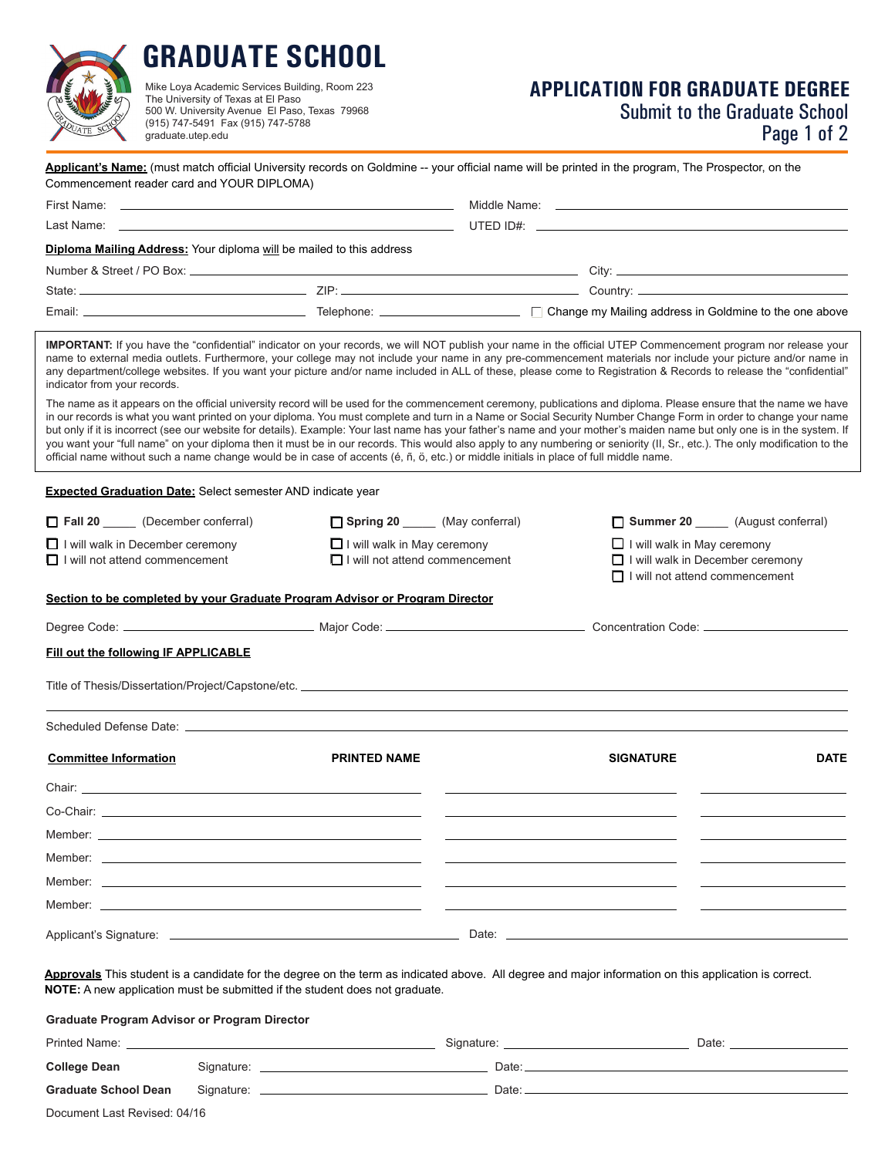

# **GRADUATE SCHOOL**

Mike Loya Academic Services Building, Room 223 The University of Texas at El Paso 500 W. University Avenue El Paso, Texas 79968 (915) 747-5491 Fax (915) 747-5788 graduate.utep.edu

# **APPLICATION FOR GRADUATE DEGREE** Submit to the Graduate School

Page 1 of 2

| Commencement reader card and YOUR DIPLOMA)                                                                                                                                                                                     |  |                                                                                                                                       |                                                                                                                       | Applicant's Name: (must match official University records on Goldmine -- your official name will be printed in the program, The Prospector, on the                                                                                                                                                                                                                                                                                                                                                                                                                                                                                                                                                 |             |
|--------------------------------------------------------------------------------------------------------------------------------------------------------------------------------------------------------------------------------|--|---------------------------------------------------------------------------------------------------------------------------------------|-----------------------------------------------------------------------------------------------------------------------|----------------------------------------------------------------------------------------------------------------------------------------------------------------------------------------------------------------------------------------------------------------------------------------------------------------------------------------------------------------------------------------------------------------------------------------------------------------------------------------------------------------------------------------------------------------------------------------------------------------------------------------------------------------------------------------------------|-------------|
| First Name:                                                                                                                                                                                                                    |  |                                                                                                                                       |                                                                                                                       |                                                                                                                                                                                                                                                                                                                                                                                                                                                                                                                                                                                                                                                                                                    |             |
|                                                                                                                                                                                                                                |  |                                                                                                                                       |                                                                                                                       |                                                                                                                                                                                                                                                                                                                                                                                                                                                                                                                                                                                                                                                                                                    |             |
| Diploma Mailing Address: Your diploma will be mailed to this address                                                                                                                                                           |  |                                                                                                                                       |                                                                                                                       |                                                                                                                                                                                                                                                                                                                                                                                                                                                                                                                                                                                                                                                                                                    |             |
|                                                                                                                                                                                                                                |  |                                                                                                                                       |                                                                                                                       |                                                                                                                                                                                                                                                                                                                                                                                                                                                                                                                                                                                                                                                                                                    |             |
|                                                                                                                                                                                                                                |  |                                                                                                                                       |                                                                                                                       |                                                                                                                                                                                                                                                                                                                                                                                                                                                                                                                                                                                                                                                                                                    |             |
|                                                                                                                                                                                                                                |  |                                                                                                                                       |                                                                                                                       |                                                                                                                                                                                                                                                                                                                                                                                                                                                                                                                                                                                                                                                                                                    |             |
| indicator from your records.                                                                                                                                                                                                   |  |                                                                                                                                       |                                                                                                                       | <b>IMPORTANT:</b> If you have the "confidential" indicator on your records, we will NOT publish your name in the official UTEP Commencement program nor release your<br>name to external media outlets. Furthermore, your college may not include your name in any pre-commencement materials nor include your picture and/or name in<br>any department/college websites. If you want your picture and/or name included in ALL of these, please come to Registration & Records to release the "confidential"                                                                                                                                                                                       |             |
|                                                                                                                                                                                                                                |  | official name without such a name change would be in case of accents (é, ñ, ö, etc.) or middle initials in place of full middle name. |                                                                                                                       | The name as it appears on the official university record will be used for the commencement ceremony, publications and diploma. Please ensure that the name we have<br>in our records is what you want printed on your diploma. You must complete and turn in a Name or Social Security Number Change Form in order to change your name<br>but only if it is incorrect (see our website for details). Example: Your last name has your father's name and your mother's maiden name but only one is in the system. If<br>you want your "full name" on your diploma then it must be in our records. This would also apply to any numbering or seniority (II, Sr., etc.). The only modification to the |             |
| <b>Expected Graduation Date: Select semester AND indicate year</b>                                                                                                                                                             |  |                                                                                                                                       |                                                                                                                       |                                                                                                                                                                                                                                                                                                                                                                                                                                                                                                                                                                                                                                                                                                    |             |
| Fall 20 ______ (December conferral)                                                                                                                                                                                            |  | Spring 20 ______ (May conferral)                                                                                                      |                                                                                                                       | Summer 20 _______ (August conferral)                                                                                                                                                                                                                                                                                                                                                                                                                                                                                                                                                                                                                                                               |             |
| $\Box$ I will walk in December ceremony                                                                                                                                                                                        |  | I will walk in May ceremony                                                                                                           |                                                                                                                       | $\Box$ I will walk in May ceremony                                                                                                                                                                                                                                                                                                                                                                                                                                                                                                                                                                                                                                                                 |             |
| $\Box$ I will not attend commencement                                                                                                                                                                                          |  | $\Box$ I will not attend commencement                                                                                                 | $\Box$ I will walk in December ceremony<br>$\Box$ I will not attend commencement                                      |                                                                                                                                                                                                                                                                                                                                                                                                                                                                                                                                                                                                                                                                                                    |             |
|                                                                                                                                                                                                                                |  | Section to be completed by your Graduate Program Advisor or Program Director                                                          |                                                                                                                       |                                                                                                                                                                                                                                                                                                                                                                                                                                                                                                                                                                                                                                                                                                    |             |
|                                                                                                                                                                                                                                |  |                                                                                                                                       |                                                                                                                       |                                                                                                                                                                                                                                                                                                                                                                                                                                                                                                                                                                                                                                                                                                    |             |
| Fill out the following IF APPLICABLE                                                                                                                                                                                           |  |                                                                                                                                       |                                                                                                                       |                                                                                                                                                                                                                                                                                                                                                                                                                                                                                                                                                                                                                                                                                                    |             |
|                                                                                                                                                                                                                                |  |                                                                                                                                       |                                                                                                                       |                                                                                                                                                                                                                                                                                                                                                                                                                                                                                                                                                                                                                                                                                                    |             |
|                                                                                                                                                                                                                                |  |                                                                                                                                       |                                                                                                                       |                                                                                                                                                                                                                                                                                                                                                                                                                                                                                                                                                                                                                                                                                                    |             |
| <b>Committee Information</b>                                                                                                                                                                                                   |  | <b>PRINTED NAME</b>                                                                                                                   |                                                                                                                       | <b>SIGNATURE</b>                                                                                                                                                                                                                                                                                                                                                                                                                                                                                                                                                                                                                                                                                   | <b>DATE</b> |
| Chair: the contract of the contract of the contract of the contract of the contract of the contract of the contract of the contract of the contract of the contract of the contract of the contract of the contract of the con |  |                                                                                                                                       |                                                                                                                       |                                                                                                                                                                                                                                                                                                                                                                                                                                                                                                                                                                                                                                                                                                    |             |
| Co-Chair:                                                                                                                                                                                                                      |  |                                                                                                                                       |                                                                                                                       |                                                                                                                                                                                                                                                                                                                                                                                                                                                                                                                                                                                                                                                                                                    |             |
|                                                                                                                                                                                                                                |  |                                                                                                                                       |                                                                                                                       |                                                                                                                                                                                                                                                                                                                                                                                                                                                                                                                                                                                                                                                                                                    |             |
|                                                                                                                                                                                                                                |  |                                                                                                                                       | <u> 1989 - Johann Harry Harry Harry Harry Harry Harry Harry Harry Harry Harry Harry Harry Harry Harry Harry Harry</u> |                                                                                                                                                                                                                                                                                                                                                                                                                                                                                                                                                                                                                                                                                                    |             |
|                                                                                                                                                                                                                                |  |                                                                                                                                       |                                                                                                                       |                                                                                                                                                                                                                                                                                                                                                                                                                                                                                                                                                                                                                                                                                                    |             |
|                                                                                                                                                                                                                                |  |                                                                                                                                       |                                                                                                                       |                                                                                                                                                                                                                                                                                                                                                                                                                                                                                                                                                                                                                                                                                                    |             |
|                                                                                                                                                                                                                                |  |                                                                                                                                       |                                                                                                                       |                                                                                                                                                                                                                                                                                                                                                                                                                                                                                                                                                                                                                                                                                                    |             |
|                                                                                                                                                                                                                                |  |                                                                                                                                       |                                                                                                                       |                                                                                                                                                                                                                                                                                                                                                                                                                                                                                                                                                                                                                                                                                                    |             |
|                                                                                                                                                                                                                                |  | <b>NOTE:</b> A new application must be submitted if the student does not graduate.                                                    |                                                                                                                       | Approvals This student is a candidate for the degree on the term as indicated above. All degree and major information on this application is correct.                                                                                                                                                                                                                                                                                                                                                                                                                                                                                                                                              |             |
| <b>Graduate Program Advisor or Program Director</b>                                                                                                                                                                            |  |                                                                                                                                       |                                                                                                                       |                                                                                                                                                                                                                                                                                                                                                                                                                                                                                                                                                                                                                                                                                                    |             |
|                                                                                                                                                                                                                                |  |                                                                                                                                       |                                                                                                                       |                                                                                                                                                                                                                                                                                                                                                                                                                                                                                                                                                                                                                                                                                                    |             |
| <b>College Dean</b>                                                                                                                                                                                                            |  |                                                                                                                                       |                                                                                                                       | Signature: Date: Date: Date: Date: Date: Date: Date: Date: Date: Date: Date: Date: Date: Date: Date: Date: Date: Date: Date: Date: Date: Date: Date: Date: Date: Date: Date: Date: Date: Date: Date: Date: Date: Date: Date: D                                                                                                                                                                                                                                                                                                                                                                                                                                                                     |             |
| <b>Graduate School Dean</b>                                                                                                                                                                                                    |  |                                                                                                                                       |                                                                                                                       |                                                                                                                                                                                                                                                                                                                                                                                                                                                                                                                                                                                                                                                                                                    |             |